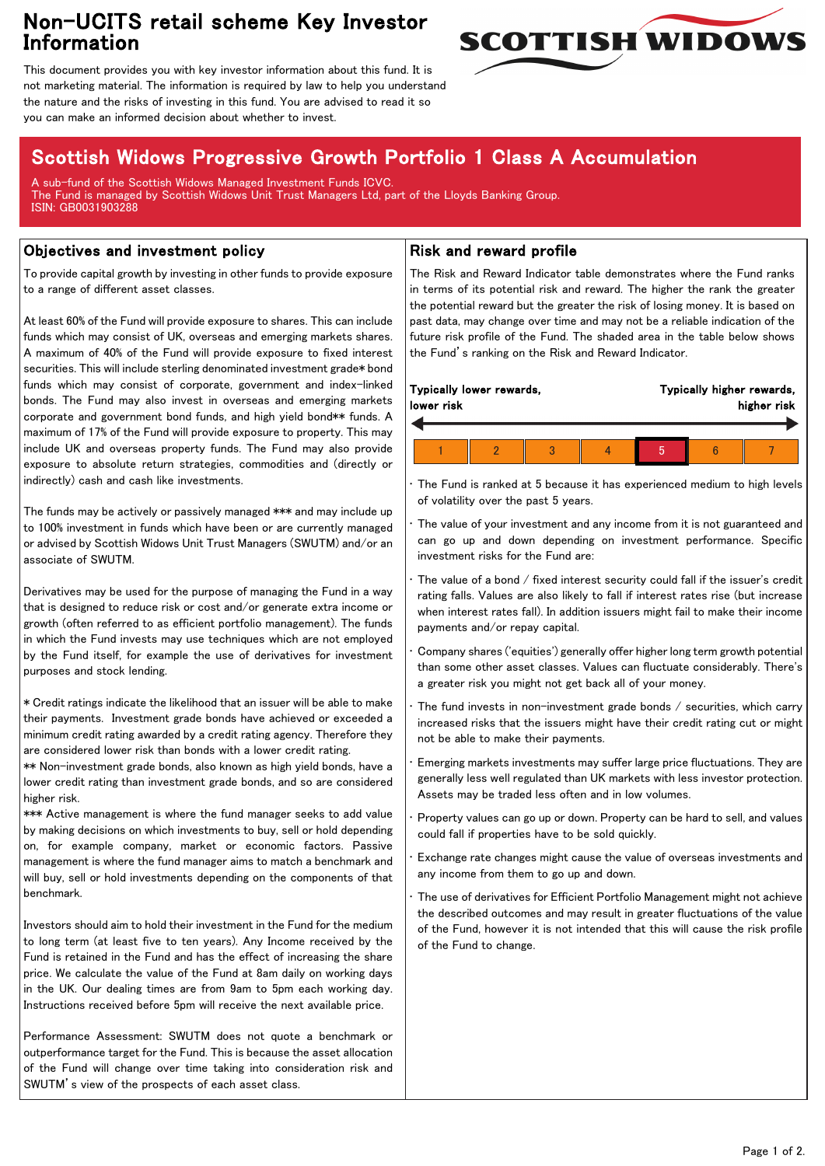## Non-UCITS retail scheme Key Investor Information



This document provides you with key investor information about this fund. It is not marketing material. The information is required by law to help you understand the nature and the risks of investing in this fund. You are advised to read it so you can make an informed decision about whether to invest.

# Scottish Widows Progressive Growth Portfolio 1 Class A Accumulation

A sub-fund of the Scottish Widows Managed Investment Funds ICVC. The Fund is managed by Scottish Widows Unit Trust Managers Ltd, part of the Lloyds Banking Group. ISIN: GB0031903288

### Objectives and investment policy

To provide capital growth by investing in other funds to provide exposure to a range of different asset classes.

At least 60% of the Fund will provide exposure to shares. This can include funds which may consist of UK, overseas and emerging markets shares. A maximum of 40% of the Fund will provide exposure to fixed interest securities. This will include sterling denominated investment grade\* bond funds which may consist of corporate, government and index-linked bonds. The Fund may also invest in overseas and emerging markets corporate and government bond funds, and high yield bond\*\* funds. A maximum of 17% of the Fund will provide exposure to property. This may include UK and overseas property funds. The Fund may also provide exposure to absolute return strategies, commodities and (directly or indirectly) cash and cash like investments.

The funds may be actively or passively managed \*\*\* and may include up to 100% investment in funds which have been or are currently managed or advised by Scottish Widows Unit Trust Managers (SWUTM) and/or an associate of SWUTM.

Derivatives may be used for the purpose of managing the Fund in a way that is designed to reduce risk or cost and/or generate extra income or growth (often referred to as efficient portfolio management). The funds in which the Fund invests may use techniques which are not employed by the Fund itself, for example the use of derivatives for investment purposes and stock lending.

\* Credit ratings indicate the likelihood that an issuer will be able to make their payments. Investment grade bonds have achieved or exceeded a minimum credit rating awarded by a credit rating agency. Therefore they are considered lower risk than bonds with a lower credit rating.

\*\* Non-investment grade bonds, also known as high yield bonds, have a lower credit rating than investment grade bonds, and so are considered higher risk.

\*\*\* Active management is where the fund manager seeks to add value by making decisions on which investments to buy, sell or hold depending on, for example company, market or economic factors. Passive management is where the fund manager aims to match a benchmark and will buy, sell or hold investments depending on the components of that benchmark.

Investors should aim to hold their investment in the Fund for the medium to long term (at least five to ten years). Any Income received by the Fund is retained in the Fund and has the effect of increasing the share price. We calculate the value of the Fund at 8am daily on working days in the UK. Our dealing times are from 9am to 5pm each working day. Instructions received before 5pm will receive the next available price.

Performance Assessment: SWUTM does not quote a benchmark or outperformance target for the Fund. This is because the asset allocation of the Fund will change over time taking into consideration risk and SWUTM's view of the prospects of each asset class.

### Risk and reward profile

The Risk and Reward Indicator table demonstrates where the Fund ranks in terms of its potential risk and reward. The higher the rank the greater the potential reward but the greater the risk of losing money. It is based on past data, may change over time and may not be a reliable indication of the future risk profile of the Fund. The shaded area in the table below shows the Fund's ranking on the Risk and Reward Indicator.

| Typically lower rewards,<br>lower risk |  |  |  | Typically higher rewards,<br>higher risk |  |  |
|----------------------------------------|--|--|--|------------------------------------------|--|--|
|                                        |  |  |  |                                          |  |  |
|                                        |  |  |  |                                          |  |  |

• The Fund is ranked at 5 because it has experienced medium to high levels of volatility over the past 5 years.

The value of your investment and any income from it is not guaranteed and can go up and down depending on investment performance. Specific investment risks for the Fund are:

• The value of a bond / fixed interest security could fall if the issuer's credit rating falls. Values are also likely to fall if interest rates rise (but increase when interest rates fall). In addition issuers might fail to make their income payments and/or repay capital.

• Company shares ('equities') generally offer higher long term growth potential than some other asset classes. Values can fluctuate considerably. There's a greater risk you might not get back all of your money.

The fund invests in non-investment grade bonds  $/$  securities, which carry increased risks that the issuers might have their credit rating cut or might not be able to make their payments.

• Emerging markets investments may suffer large price fluctuations. They are generally less well regulated than UK markets with less investor protection. Assets may be traded less often and in low volumes.

• Property values can go up or down. Property can be hard to sell, and values could fall if properties have to be sold quickly.

• Exchange rate changes might cause the value of overseas investments and any income from them to go up and down.

The use of derivatives for Efficient Portfolio Management might not achieve the described outcomes and may result in greater fluctuations of the value of the Fund, however it is not intended that this will cause the risk profile of the Fund to change.